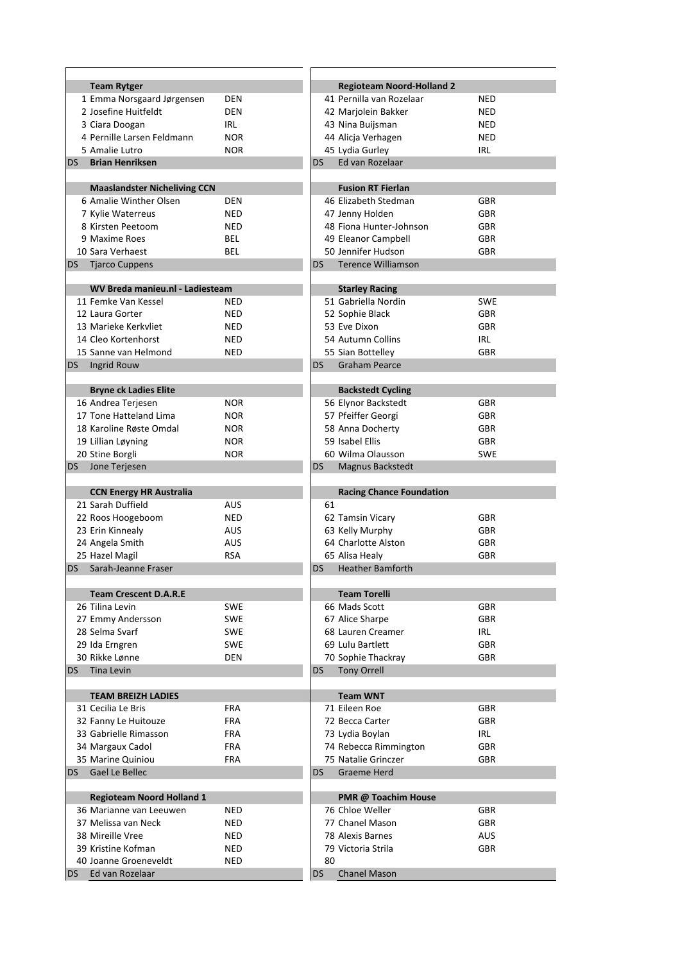|           | <b>Team Rytger</b>                       |            |           | <b>Regioteam Noord-Holland 2</b> |            |
|-----------|------------------------------------------|------------|-----------|----------------------------------|------------|
|           | 1 Emma Norsgaard Jørgensen               | <b>DEN</b> |           | 41 Pernilla van Rozelaar         | <b>NED</b> |
|           | 2 Josefine Huitfeldt                     | <b>DEN</b> |           | 42 Marjolein Bakker              | <b>NED</b> |
|           | 3 Ciara Doogan                           | IRL        |           | 43 Nina Buijsman                 | <b>NED</b> |
|           | 4 Pernille Larsen Feldmann               |            |           |                                  |            |
|           |                                          | <b>NOR</b> |           | 44 Alicja Verhagen               | <b>NED</b> |
|           | 5 Amalie Lutro                           | <b>NOR</b> |           | 45 Lydia Gurley                  | IRL        |
| DS.       | <b>Brian Henriksen</b>                   |            | DS        | Ed van Rozelaar                  |            |
|           |                                          |            |           |                                  |            |
|           | <b>Maaslandster Nicheliving CCN</b>      |            |           | <b>Fusion RT Fierlan</b>         |            |
|           | 6 Amalie Winther Olsen                   | <b>DEN</b> |           | 46 Elizabeth Stedman             | <b>GBR</b> |
|           | 7 Kylie Waterreus                        | <b>NED</b> |           | 47 Jenny Holden                  | <b>GBR</b> |
|           | 8 Kirsten Peetoom                        | <b>NED</b> |           | 48 Fiona Hunter-Johnson          | <b>GBR</b> |
|           |                                          |            |           |                                  |            |
|           | 9 Maxime Roes                            | BEL        |           | 49 Eleanor Campbell              | <b>GBR</b> |
|           | 10 Sara Verhaest                         | <b>BEL</b> |           | 50 Jennifer Hudson               | <b>GBR</b> |
| DS        | <b>Tjarco Cuppens</b>                    |            | <b>DS</b> | <b>Terence Williamson</b>        |            |
|           |                                          |            |           |                                  |            |
|           | WV Breda manieu.nl - Ladiesteam          |            |           | <b>Starley Racing</b>            |            |
|           | 11 Femke Van Kessel                      | <b>NED</b> |           | 51 Gabriella Nordin              | <b>SWE</b> |
|           | 12 Laura Gorter                          | <b>NED</b> |           | 52 Sophie Black                  | <b>GBR</b> |
|           | 13 Marieke Kerkvliet                     |            |           | 53 Eve Dixon                     | <b>GBR</b> |
|           |                                          | <b>NED</b> |           |                                  |            |
|           | 14 Cleo Kortenhorst                      | <b>NED</b> |           | 54 Autumn Collins                | <b>IRL</b> |
|           | 15 Sanne van Helmond                     | <b>NED</b> |           | 55 Sian Bottelley                | <b>GBR</b> |
| DS.       | Ingrid Rouw                              |            | <b>DS</b> | <b>Graham Pearce</b>             |            |
|           |                                          |            |           |                                  |            |
|           | <b>Bryne ck Ladies Elite</b>             |            |           | <b>Backstedt Cycling</b>         |            |
|           | 16 Andrea Terjesen                       | <b>NOR</b> |           | 56 Elynor Backstedt              | <b>GBR</b> |
|           | 17 Tone Hatteland Lima                   | <b>NOR</b> |           | 57 Pfeiffer Georgi               | <b>GBR</b> |
|           |                                          |            |           |                                  |            |
|           | 18 Karoline Røste Omdal                  | <b>NOR</b> |           | 58 Anna Docherty                 | <b>GBR</b> |
|           | 19 Lillian Løyning                       | <b>NOR</b> |           | 59 Isabel Ellis                  | <b>GBR</b> |
|           | 20 Stine Borgli                          | <b>NOR</b> |           | 60 Wilma Olausson                | <b>SWE</b> |
| DS -      | Jone Terjesen                            |            | DS        | Magnus Backstedt                 |            |
|           |                                          |            |           |                                  |            |
|           |                                          |            |           |                                  |            |
|           |                                          |            |           |                                  |            |
|           | <b>CCN Energy HR Australia</b>           |            |           | <b>Racing Chance Foundation</b>  |            |
|           | 21 Sarah Duffield                        | <b>AUS</b> | 61        |                                  |            |
|           | 22 Roos Hoogeboom                        | <b>NED</b> |           | 62 Tamsin Vicary                 | <b>GBR</b> |
|           | 23 Erin Kinnealy                         | AUS        |           | 63 Kelly Murphy                  | <b>GBR</b> |
|           | 24 Angela Smith                          | <b>AUS</b> |           | 64 Charlotte Alston              | <b>GBR</b> |
|           | 25 Hazel Magil                           | <b>RSA</b> |           | 65 Alisa Healy                   | <b>GBR</b> |
| DS.       | Sarah-Jeanne Fraser                      |            | DS        | <b>Heather Bamforth</b>          |            |
|           |                                          |            |           |                                  |            |
|           | <b>Team Crescent D.A.R.E</b>             |            |           | <b>Team Torelli</b>              |            |
|           | 26 Tilina Levin                          | <b>SWE</b> |           | 66 Mads Scott                    | <b>GBR</b> |
|           |                                          |            |           |                                  |            |
|           | 27 Emmy Andersson                        | <b>SWE</b> |           | 67 Alice Sharpe                  | GBR        |
|           | 28 Selma Svarf                           | <b>SWE</b> |           | 68 Lauren Creamer                | IRL        |
|           | 29 Ida Erngren                           | <b>SWE</b> |           | 69 Lulu Bartlett                 | <b>GBR</b> |
|           | 30 Rikke Lønne                           | <b>DEN</b> |           | 70 Sophie Thackray               | <b>GBR</b> |
| DS.       | <b>Tina Levin</b>                        |            | DS        | <b>Tony Orrell</b>               |            |
|           |                                          |            |           |                                  |            |
|           | <b>TEAM BREIZH LADIES</b>                |            |           | <b>Team WNT</b>                  |            |
|           | 31 Cecilia Le Bris                       | <b>FRA</b> |           | 71 Eileen Roe                    | <b>GBR</b> |
|           |                                          |            |           |                                  |            |
|           | 32 Fanny Le Huitouze                     | <b>FRA</b> |           | 72 Becca Carter                  | <b>GBR</b> |
|           | 33 Gabrielle Rimasson                    | <b>FRA</b> |           | 73 Lydia Boylan                  | IRL        |
|           | 34 Margaux Cadol                         | <b>FRA</b> |           | 74 Rebecca Rimmington            | <b>GBR</b> |
|           | 35 Marine Quiniou                        | <b>FRA</b> |           | 75 Natalie Grinczer              | <b>GBR</b> |
| <b>DS</b> | Gael Le Bellec                           |            | DS        | Graeme Herd                      |            |
|           |                                          |            |           |                                  |            |
|           | <b>Regioteam Noord Holland 1</b>         |            |           | PMR @ Toachim House              |            |
|           | 36 Marianne van Leeuwen                  | <b>NED</b> |           | 76 Chloe Weller                  | <b>GBR</b> |
|           | 37 Melissa van Neck                      | <b>NED</b> |           | 77 Chanel Mason                  | <b>GBR</b> |
|           |                                          |            |           |                                  |            |
|           | 38 Mireille Vree                         | NED        |           | 78 Alexis Barnes                 | <b>AUS</b> |
|           | 39 Kristine Kofman                       | NED        |           | 79 Victoria Strila               | <b>GBR</b> |
| DS        | 40 Joanne Groeneveldt<br>Ed van Rozelaar | NED        | 80<br>DS  | <b>Chanel Mason</b>              |            |